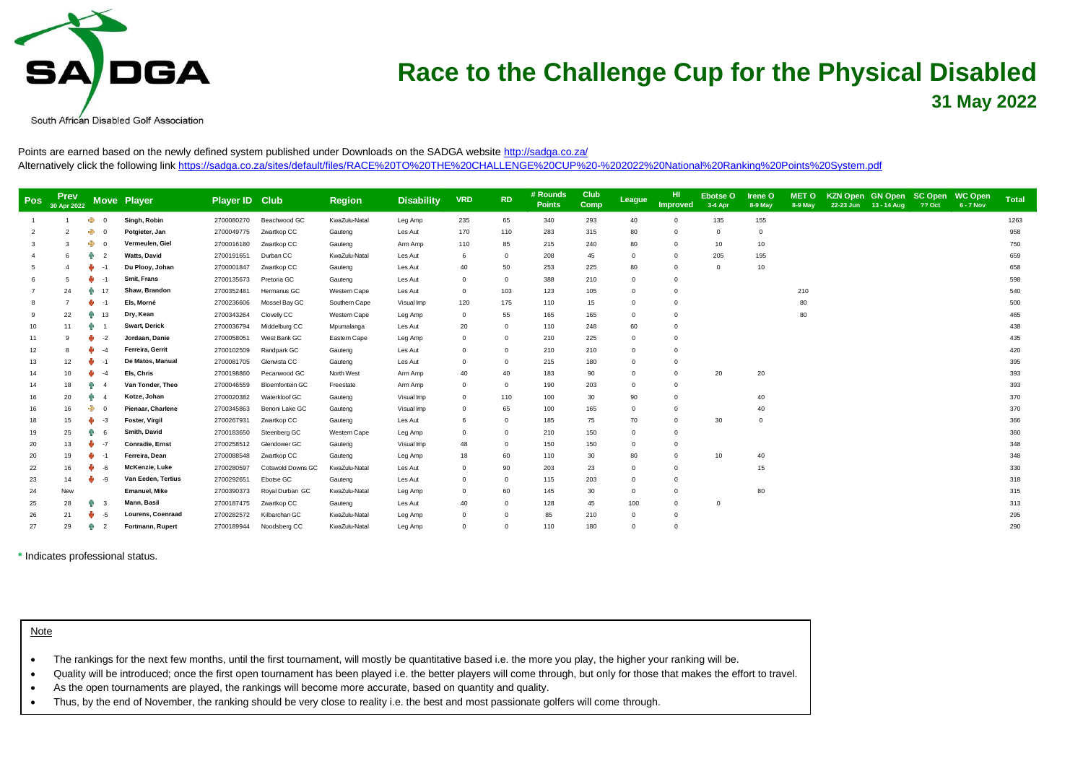

South African Disabled Golf Association

Points are earned based on the newly defined system published under Downloads on the SADGA website<http://sadga.co.za/> Alternatively click the following lin[k https://sadga.co.za/sites/default/files/RACE%20TO%20THE%20CHALLENGE%20CUP%20-%202022%20National%20Ranking%20Points%20System.pdf](https://sadga.co.za/sites/default/files/RACE%20TO%20THE%20CHALLENGE%20CUP%20-%202022%20National%20Ranking%20Points%20System.pdf)

| <b>Pos</b> | <b>Prev</b><br>30 Apr 2022 |                      | <b>Move Player</b>       | <b>Player ID Club</b> |                        | <b>Region</b> | <b>Disability</b> | <b>VRD</b>  | <b>RD</b>   | # Rounds<br><b>Points</b> | Club<br>Comp | League   | HI.<br>Improved | Ebotse O<br>3-4 Apr | <b>Irene O</b><br>8-9 May | <b>MET O</b><br>$8-9$ May | 22-23 Jun | KZN Open GN Open SC Open<br>13 - 14 Aug | <b>?? Oct</b> | <b>WC Open</b><br>$6 - 7$ Nov | <b>Total</b> |
|------------|----------------------------|----------------------|--------------------------|-----------------------|------------------------|---------------|-------------------|-------------|-------------|---------------------------|--------------|----------|-----------------|---------------------|---------------------------|---------------------------|-----------|-----------------------------------------|---------------|-------------------------------|--------------|
|            |                            | ♣<br>$\Omega$        | Singh, Robin             | 2700080270            | Beachwood GC           | KwaZulu-Natal | Leg Amp           | 235         | 65          | 340                       | 293          | 40       | $\Omega$        | 135                 | 155                       |                           |           |                                         |               |                               | 1263         |
|            |                            | $\Rightarrow$        | Potgieter, Jan           | 2700049775            | Zwartkop CC            | Gauteng       | Les Aut           | 170         | 110         | 283                       | 315          | 80       | $\Omega$        | $\Omega$            | $\Omega$                  |                           |           |                                         |               |                               | 958          |
|            |                            | ♣<br>$\Omega$        | Vermeulen, Giel          | 2700016180            | Zwartkop CC            | Gauteng       | Arm Amp           | 110         | 85          | 215                       | 240          | 80       | $\mathbf 0$     | 10                  | 10                        |                           |           |                                         |               |                               | 750          |
|            |                            | 兩<br>$\overline{2}$  | <b>Watts, David</b>      | 2700191651            | Durban CC              | KwaZulu-Natal | Les Aut           | 6           | $\mathbf 0$ | 208                       | 45           |          | $\mathbf 0$     | 205                 | 195                       |                           |           |                                         |               |                               | 659          |
|            |                            | والح                 | Du Plooy, Johan          | 2700001847            | Zwartkop CC            | Gauteng       | Les Aut           | 40          | 50          | 253                       | 225          | 80       | $\overline{0}$  | $\Omega$            | 10                        |                           |           |                                         |               |                               | 658          |
|            |                            |                      | Smit, Frans              | 2700135673            | Pretoria GC            | Gauteng       | Les Aut           | 0           | 0           | 388                       | 210          |          | $\overline{0}$  |                     |                           |                           |           |                                         |               |                               | 598          |
|            | 24                         | Аñ<br>17             | Shaw. Brandon            | 2700352481            | Hermanus GC            | Western Cape  | Les Aut           | $\Omega$    | 103         | 123                       | 105          |          | $\Omega$        |                     |                           | 210                       |           |                                         |               |                               | 540          |
|            |                            |                      | Els, Morné               | 2700236606            | Mossel Bay GC          | Southern Cape | Visual Imp        | 120         | 175         | 110                       | 15           |          | $\mathbf 0$     |                     |                           | 80                        |           |                                         |               |                               | 500          |
|            | 22                         | 13<br>ЙR             | Dry, Kean                | 2700343264            | Clovelly CC            | Western Cape  | Leg Amp           | $\Omega$    | 55          | 165                       | 165          |          | $\Omega$        |                     |                           | 80                        |           |                                         |               |                               | 465          |
| 10         | 11                         | ЙR                   | Swart, Derick            | 2700036794            | Middelburg CC          | Mpumalanga    | Les Aut           | 20          | 0           | 110                       | 248          | 60       | $\Omega$        |                     |                           |                           |           |                                         |               |                               | 438          |
| 11         |                            | $-2$                 | Jordaan, Danie           | 2700058051            | West Bank GC           | Eastern Cape  | Leg Amp           | $\Omega$    | $\Omega$    | 210                       | 225          |          | $\Omega$        |                     |                           |                           |           |                                         |               |                               | 435          |
| 12         |                            |                      | Ferreira, Gerrit         | 2700102509            | Randpark GC            | Gauteng       | Les Aut           | 0           | $\Omega$    | 210                       | 210          |          | $\mathbf 0$     |                     |                           |                           |           |                                         |               |                               | 420          |
| 13         | 12                         |                      | De Matos, Manual         | 2700081705            | Glenvista CC           | Gauteng       | Les Aut           | $\Omega$    | $\Omega$    | 215                       | 180          |          | $\Omega$        |                     |                           |                           |           |                                         |               |                               | 395          |
| 14         | 10                         |                      | Els, Chris               | 2700198860            | Pecanwood GC           | North West    | Arm Amp           | 40          | 40          | 183                       | 90           | $\Omega$ | $\overline{0}$  | 20                  | 20                        |                           |           |                                         |               |                               | 393          |
| 14         | 18                         | ЯP                   | Van Tonder, Theo         | 2700046559            | <b>Bloemfontein GC</b> | Freestate     | Arm Amp           | $^{\circ}$  | $\mathbf 0$ | 190                       | 203          |          | $\Omega$        |                     |                           |                           |           |                                         |               |                               | 393          |
| 16         | 20                         | ЙΝ                   | Kotze, Johan             | 2700020382            | Waterkloof GC          | Gauteng       | Visual Imp        | $\Omega$    | 110         | 100                       | 30           | 90       | $\Omega$        |                     | 40                        |                           |           |                                         |               |                               | 370          |
|            | 16                         | ♣                    | <b>Pienaar, Charlene</b> | 2700345863            | Benoni Lake GC         | Gauteng       | Visual Imp        | $\Omega$    | 65          | 100                       | 165          |          | $\Omega$        |                     | 40                        |                           |           |                                         |               |                               | 370          |
|            | 15                         | $-3$<br>w            | Foster, Virgil           | 2700267931            | Zwartkop CC            | Gauteng       | Les Aut           | 6           | $\mathbf 0$ | 185                       | 75           | 70       | $\mathbf 0$     | 30                  | $\mathbf 0$               |                           |           |                                         |               |                               | 366          |
| 19         | 25                         | ЙR                   | Smith, David             | 2700183650            | Steenberg GC           | Western Cape  | Leg Amp           | $\mathbf 0$ | $\Omega$    | 210                       | 150          |          | $\mathbf 0$     |                     |                           |                           |           |                                         |               |                               | 360          |
| 20         | 13                         |                      | Conradie, Ernst          | 2700258512            | Glendower GC           | Gauteng       | Visual Imp        | 48          | $\Omega$    | 150                       | 150          |          | $\Omega$        |                     |                           |                           |           |                                         |               |                               | 348          |
| 20         | 19                         |                      | Ferreira, Dean           | 2700088548            | Zwartkop CC            | Gauteng       | Leg Amp           | 18          | 60          | 110                       | 30           | 80       | $\Omega$        | 10                  | 40                        |                           |           |                                         |               |                               | 348          |
| 22         | 16                         | -6                   | McKenzie, Luke           | 2700280597            | Cotswold Downs GC      | KwaZulu-Natal | Les Aut           | $^{\circ}$  | 90          | 203                       | 23           |          | $\mathbf 0$     |                     | 15                        |                           |           |                                         |               |                               | 330          |
| 23         | 14                         | w<br>$-9$            | Van Eeden, Tertius       | 2700292651            | Ebotse GC              | Gauteng       | Les Aut           | $\Omega$    | $\Omega$    | 115                       | 203          |          | $\Omega$        |                     |                           |                           |           |                                         |               |                               | 318          |
| 24         | New                        |                      | <b>Emanuel</b> , Mike    | 2700390373            | Royal Durban GC        | KwaZulu-Natal | Leg Amp           | $\Omega$    | 60          | 145                       | 30           |          | $\mathbf 0$     |                     | 80                        |                           |           |                                         |               |                               | 315          |
| 25         | 28                         | Аñ<br>-3             | Mann, Basil              | 2700187475            | Zwartkop CC            | Gauteng       | Les Aut           | 40          | 0           | 128                       | 45           | 100      | $\mathbf 0$     | $^{\circ}$          |                           |                           |           |                                         |               |                               | 313          |
| 26         | 21                         | w<br>-5              | <b>Lourens, Coenraad</b> | 2700282572            | Kilbarchan GC          | KwaZulu-Natal | Leg Amp           | $\Omega$    | $\Omega$    | 85                        | 210          | $\Omega$ | $\mathbf 0$     |                     |                           |                           |           |                                         |               |                               | 295          |
| 27         | 29                         | ЙR<br>$\overline{2}$ | Fortmann, Rupert         | 2700189944            | Noodsberg CC           | KwaZulu-Natal | Leg Amp           | $\Omega$    | $\Omega$    | 110                       | 180          | $\Omega$ | $\Omega$        |                     |                           |                           |           |                                         |               |                               | 290          |

**\*** Indicates professional status.

Note

• The rankings for the next few months, until the first tournament, will mostly be quantitative based i.e. the more you play, the higher your ranking will be.

• Quality will be introduced; once the first open tournament has been played i.e. the better players will come through, but only for those that makes the effort to travel.

• As the open tournaments are played, the rankings will become more accurate, based on quantity and quality.

• Thus, by the end of November, the ranking should be very close to reality i.e. the best and most passionate golfers will come through.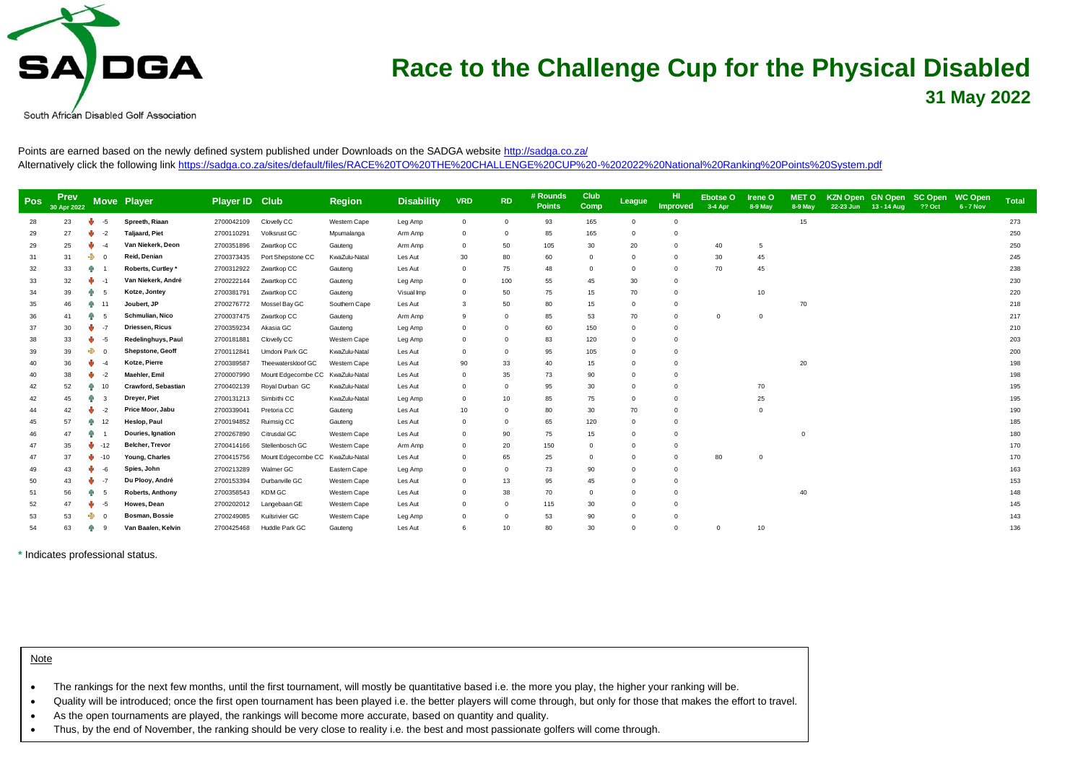

South African Disabled Golf Association

Points are earned based on the newly defined system published under Downloads on the SADGA website<http://sadga.co.za/> Alternatively click the following lin[k https://sadga.co.za/sites/default/files/RACE%20TO%20THE%20CHALLENGE%20CUP%20-%202022%20National%20Ranking%20Points%20System.pdf](https://sadga.co.za/sites/default/files/RACE%20TO%20THE%20CHALLENGE%20CUP%20-%202022%20National%20Ranking%20Points%20System.pdf)

| <b>Pos</b> | <b>Prev</b><br>30 Apr 2022 |          | <b>Move Player</b>      | Player ID Club |                                  | <b>Region</b> | <b>Disability</b> | <b>VRD</b>     | <b>RD</b> | # Rounds<br><b>Points</b> | Club<br><b>Comp</b> | League   | HI.<br>Improved | Ebotse O<br>3-4 Apr | Irene O<br>8-9 May | <b>MET O</b><br>8-9 May | KZN Open GN Open SC Open<br>22-23 Jun | $13 - 14$ Aug | <b>?? Oct</b> | WC Open<br>6 - 7 Nov | <b>Total</b> |
|------------|----------------------------|----------|-------------------------|----------------|----------------------------------|---------------|-------------------|----------------|-----------|---------------------------|---------------------|----------|-----------------|---------------------|--------------------|-------------------------|---------------------------------------|---------------|---------------|----------------------|--------------|
| 28         | 23                         | $-5$     | Spreeth, Riaan          | 2700042109     | Clovelly CC                      | Western Cape  | Leg Amp           | $\overline{0}$ | $\Omega$  | 93                        | 165                 | $\Omega$ | $\Omega$        |                     |                    | 15                      |                                       |               |               |                      | 273          |
| 29         | 27                         | $-2$     | <b>Taljaard, Piet</b>   | 2700110291     | Volksrust GC                     | Mpumalanga    | Arm Amp           | $\mathbf 0$    |           | 85                        | 165                 |          |                 |                     |                    |                         |                                       |               |               |                      | 250          |
| 29         | 25                         |          | Van Niekerk, Deon       | 2700351896     | Zwartkop CC                      | Gauteng       | Arm Amp           | $^{\circ}$     | 50        | 105                       | 30                  | 20       | 0               | 40                  | 5                  |                         |                                       |               |               |                      | 250          |
| 31         | 31                         | ♣        | Reid, Denian            | 2700373435     | Port Shepstone CC                | KwaZulu-Natal | Les Aut           | 30             | 80        | 60                        | $\mathbf 0$         |          | $\Omega$        | 30                  | 45                 |                         |                                       |               |               |                      | 245          |
| 32         | 33                         | Аĥ       | Roberts, Curtley*       | 2700312922     | Zwartkop CC                      | Gauteng       | Les Aut           | $\circ$        | 75        | 48                        | $\mathbf 0$         |          | $\Omega$        | 70                  | 45                 |                         |                                       |               |               |                      | 238          |
| 33         | 32                         | -1       | Van Niekerk, André      | 2700222144     | Zwartkop CC                      | Gauteng       | Leg Amp           | $^{\circ}$     | 100       | 55                        | 45                  | 30       |                 |                     |                    |                         |                                       |               |               |                      | 230          |
| 34         | 39                         | R۴<br>-5 | Kotze, Jontey           | 2700381791     | Zwartkop CC                      | Gauteng       | Visual Imp        | $^{\circ}$     | 50        | 75                        | 15                  | 70       | $\Omega$        |                     | 10                 |                         |                                       |               |               |                      | 220          |
| 35         | 46                         | нλ<br>11 | Joubert, JP             | 2700276772     | Mossel Bay GC                    | Southern Cape | Les Aut           | 3              | 50        | 80                        | 15                  | $\Omega$ |                 |                     |                    | 70                      |                                       |               |               |                      | 218          |
| 36         | 41                         |          | <b>Schmulian, Nico</b>  | 2700037475     | Zwartkop CC                      | Gauteng       | Arm Amp           | 9              |           | 85                        | 53                  | 70       | $\Omega$        | $\Omega$            | $\Omega$           |                         |                                       |               |               |                      | 217          |
| 37         | 30                         | $-7$     | Driessen, Ricus         | 2700359234     | Akasia GC                        | Gauteng       | Leg Amp           | $^{\circ}$     | $\Omega$  | 60                        | 150                 | $\Omega$ | 0               |                     |                    |                         |                                       |               |               |                      | 210          |
| 38         | 33                         | -5       | Redelinghuys, Paul      | 2700181881     | Clovelly CC                      | Western Cape  | Leg Amp           | $\circ$        |           | 83                        | 120                 |          |                 |                     |                    |                         |                                       |               |               |                      | 203          |
| 39         | 39                         | ♣        | <b>Shepstone, Geoff</b> | 2700112841     | Umdoni Park GC                   | KwaZulu-Natal | Les Aut           | $\Omega$       | $\Omega$  | 95                        | 105                 |          |                 |                     |                    |                         |                                       |               |               |                      | 200          |
| 40         | 36                         |          | Kotze, Pierre           | 2700389587     | Theewaterskloof GC               | Western Cape  | Les Aut           | 90             | 33        | 40                        | 15                  |          |                 |                     |                    | 20                      |                                       |               |               |                      | 198          |
| 40         | 38                         | $-2$     | Maehler, Emil           | 2700007990     | Mount Edgecombe CC KwaZulu-Natal |               | Les Aut           | $\overline{0}$ | 35        | 73                        | 90                  |          |                 |                     |                    |                         |                                       |               |               |                      | 198          |
| 42         | 52                         | 10       | Crawford, Sebastian     | 2700402139     | Royal Durban GC                  | KwaZulu-Natal | Les Aut           | $\Omega$       |           | 95                        | 30                  |          |                 |                     | 70                 |                         |                                       |               |               |                      | 195          |
| 42         | 45                         |          | Dreyer, Piet            | 2700131213     | Simbithi CC                      | KwaZulu-Natal | Leg Amp           | $\Omega$       | 10        | 85                        | 75                  |          |                 |                     | 25                 |                         |                                       |               |               |                      | 195          |
|            | 42                         | $-2$     | Price Moor, Jabu        | 2700339041     | Pretoria CC                      | Gauteng       | Les Aut           | 10             |           | 80                        | 30                  | 70       |                 |                     | $\Omega$           |                         |                                       |               |               |                      | 190          |
| 45         | 57                         | 12<br>ЙΝ | Heslop, Paul            | 2700194852     | Ruimsig CC                       | Gauteng       | Les Aut           | $\circ$        | $\Omega$  | 65                        | 120                 |          |                 |                     |                    |                         |                                       |               |               |                      | 185          |
| 46         | 47                         |          | Douries, Ignation       | 2700267890     | Citrusdal GC                     | Western Cape  | Les Aut           | $\Omega$       | 90        | 75                        | 15                  |          |                 |                     |                    | $\Omega$                |                                       |               |               |                      | 180          |
| 47         | 35                         | $-12$    | <b>Belcher, Trevor</b>  | 2700414166     | Stellenbosch GC                  | Western Cape  | Arm Amp           | $\Omega$       | 20        | 150                       | $\mathbf 0$         |          |                 |                     |                    |                         |                                       |               |               |                      | 170          |
| 47         | 37                         | $-10$    | Young, Charles          | 2700415756     | Mount Edgecombe CC               | KwaZulu-Natal | Les Aut           | $\Omega$       | 65        | 25                        | $\Omega$            |          |                 | 80                  | $\Omega$           |                         |                                       |               |               |                      | 170          |
| 49         | 43                         | -6       | Spies, John             | 2700213289     | Walmer GC                        | Eastern Cape  | Leg Amp           | $\circ$        |           | 73                        | 90                  |          |                 |                     |                    |                         |                                       |               |               |                      | 163          |
| 50         | 43                         | $-7$     | Du Plooy, André         | 2700153394     | Durbanville GC                   | Western Cape  | Les Aut           | $\Omega$       | 13        | 95                        | 45                  |          |                 |                     |                    |                         |                                       |               |               |                      | 153          |
| 51         | 56                         | ЙΝ       | Roberts, Anthony        | 2700358543     | KDM GC                           | Western Cape  | Les Aut           | $\Omega$       | 38        | 70                        | $\mathbf 0$         |          |                 |                     |                    | 40                      |                                       |               |               |                      | 148          |
| 52         | 47                         | -5       | Howes, Dean             | 2700202012     | Langebaan GE                     | Western Cape  | Les Aut           | $\Omega$       | $\Omega$  | 115                       | 30                  |          |                 |                     |                    |                         |                                       |               |               |                      | 145          |
| 53         | 53                         | ♣        | Bosman, Bossie          | 2700249085     | Kuilsrivier GC                   | Western Cape  | Leg Amp           | 0              |           | 53                        | 90                  |          |                 |                     |                    |                         |                                       |               |               |                      | 143          |
| 54         | 63                         |          | Van Baalen, Kelvin      | 2700425468     | Huddle Park GC                   | Gauteng       | Les Aut           |                | 10        | 80                        | 30                  |          | $\Omega$        | $\Omega$            | 10                 |                         |                                       |               |               |                      | 136          |

**\*** Indicates professional status.

| <u>Note</u> |                                                                                                                                                                         |
|-------------|-------------------------------------------------------------------------------------------------------------------------------------------------------------------------|
|             | The rankings for the next few months, until the first tournament, will mostly be quantitative based i.e. the more you play, the higher your ranking will be.            |
|             | Quality will be introduced; once the first open tournament has been played i.e. the better players will come through but only for those that makes the effort to travel |

• Quality will be introduced; once the first open tournament has been played i.e. the better players will come through, but only for those that makes the effort to travel.

• As the open tournaments are played, the rankings will become more accurate, based on quantity and quality.

• Thus, by the end of November, the ranking should be very close to reality i.e. the best and most passionate golfers will come through.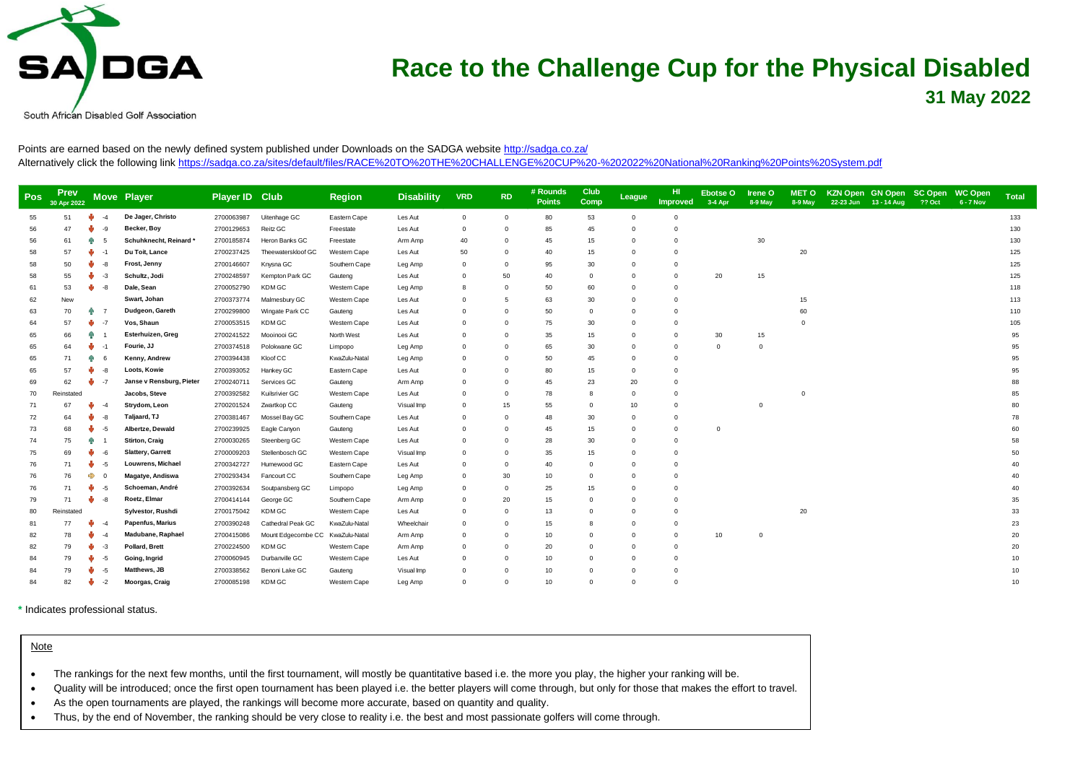

South African Disabled Golf Association

Points are earned based on the newly defined system published under Downloads on the SADGA website<http://sadga.co.za/> Alternatively click the following lin[k https://sadga.co.za/sites/default/files/RACE%20TO%20THE%20CHALLENGE%20CUP%20-%202022%20National%20Ranking%20Points%20System.pdf](https://sadga.co.za/sites/default/files/RACE%20TO%20THE%20CHALLENGE%20CUP%20-%202022%20National%20Ranking%20Points%20System.pdf)

| <b>Pos</b> | <b>Prev</b><br>30 Apr 2022 |                    | Move Player              | Player ID Club |                                  | <b>Region</b> | <b>Disability</b> | <b>VRD</b>  | <b>RD</b> | # Rounds<br><b>Points</b> | Club<br>Comp | League      | -HI<br><b>Improved</b> | Ebotse O<br>3-4 Apr | Irene O<br>8-9 May | <b>MET O</b><br>8-9 May | KZN Open GN Open SC Open WC Open<br>22-23 Jun 13 - 14 Aug | <b>?? Oct</b> | 6 - 7 Nov | <b>Total</b> |
|------------|----------------------------|--------------------|--------------------------|----------------|----------------------------------|---------------|-------------------|-------------|-----------|---------------------------|--------------|-------------|------------------------|---------------------|--------------------|-------------------------|-----------------------------------------------------------|---------------|-----------|--------------|
| 55         | 51                         | ŵ<br>$\mathcal{A}$ | De Jager, Christo        | 2700063987     | Uitenhage GC                     | Eastern Cape  | Les Aut           | $\Omega$    | $\Omega$  | 80                        | 53           | $^{\circ}$  | $\mathbf 0$            |                     |                    |                         |                                                           |               |           | 133          |
| 56         | 47                         | w<br>-9            | Becker, Boy              | 2700129653     | Reitz GC                         | Freestate     | Les Aut           | $\mathbf 0$ | $\Omega$  | 85                        | 45           | $\Omega$    | $\Omega$               |                     |                    |                         |                                                           |               |           | 130          |
| 56         | 61                         | 牵<br>-5            | Schuhknecht, Reinard'    | 2700185874     | Heron Banks GC                   | Freestate     | Arm Amp           | 40          | 0         | 45                        | 15           | $\Omega$    | $\mathbf 0$            |                     | 30                 |                         |                                                           |               |           | 130          |
| 58         | 57                         | w<br>$-1$          | Du Toit, Lance           | 2700237425     | Theewaterskloof GC               | Western Cape  | Les Aut           | 50          | $\Omega$  | 40                        | 15           | $\Omega$    | $\Omega$               |                     |                    | 20                      |                                                           |               |           | 125          |
| 58         | 50                         | ŵ<br>-8            | Frost, Jenny             | 2700146607     | Knysna GC                        | Southern Cape | Leg Amp           | $\Omega$    | $\Omega$  | 95                        | 30           | U           | $\Omega$               |                     |                    |                         |                                                           |               |           | 125          |
| 58         | 55                         | ŵ<br>-3            | Schultz, Jodi            | 2700248597     | Kempton Park GC                  | Gauteng       | Les Aut           | $\Omega$    | 50        | 40                        | $\mathbf 0$  | $\Omega$    | $\mathbf 0$            | 20                  | 15                 |                         |                                                           |               |           | 125          |
| 61         | 53                         | ŵ<br>-8            | Dale, Sean               | 2700052790     | <b>KDM GC</b>                    | Western Cape  | Leg Amp           | 8           | $\Omega$  | 50                        | 60           | $\Omega$    | $\Omega$               |                     |                    |                         |                                                           |               |           | 118          |
| 62         | New                        |                    | Swart, Johan             | 2700373774     | Malmesbury GC                    | Western Cape  | Les Aut           | $\Omega$    | 5         | 63                        | 30           | $\Omega$    | $\Omega$               |                     |                    | 15                      |                                                           |               |           | 113          |
| 63         | 70                         | 牵<br>- 7           | Dudgeon, Gareth          | 2700299800     | Wingate Park CC                  | Gauteng       | Les Aut           | $\Omega$    | $\Omega$  | 50                        | $\mathbf 0$  | $\Omega$    | $\Omega$               |                     |                    | 60                      |                                                           |               |           | 110          |
| 64         | 57                         | w<br>$-7$          | Vos, Shaun               | 2700053515     | <b>KDM GC</b>                    | Western Cape  | Les Aut           | $\Omega$    | $\Omega$  | 75                        | 30           | $\Omega$    | $\Omega$               |                     |                    | $\Omega$                |                                                           |               |           | 105          |
| 65         | 66                         | Ą.                 | Esterhuizen, Greg        | 2700241522     | Mooinooi GC                      | North West    | Les Aut           | $\Omega$    | $\Omega$  | 35                        | 15           | $\Omega$    | $\Omega$               | 30                  | 15                 |                         |                                                           |               |           | 95           |
| 65         | 64                         | ŵ<br>$-1$          | Fourie, JJ               | 2700374518     | Polokwane GC                     | Limpopo       | Leg Amp           | $\Omega$    | $\Omega$  | 65                        | 30           | $\Omega$    | $\overline{0}$         | $^{\circ}$          | $\Omega$           |                         |                                                           |               |           | 95           |
| 65         | 71                         | 命                  | Kenny, Andrew            | 2700394438     | Kloof CC                         | KwaZulu-Natal | Leg Amp           | $\Omega$    | $\Omega$  | 50                        | 45           | $\Omega$    | $\Omega$               |                     |                    |                         |                                                           |               |           | 95           |
| 65         | 57                         | ŵ<br>-8            | Loots, Kowie             | 2700393052     | Hankey GC                        | Eastern Cape  | Les Aut           | $\Omega$    | $\Omega$  | 80                        | 15           | $\Omega$    | $\Omega$               |                     |                    |                         |                                                           |               |           | 95           |
| 69         | 62                         | ŵ<br>-7            | Janse v Rensburg, Pieter | 2700240711     | Services GC                      | Gauteng       | Arm Amp           | $\Omega$    | $\Omega$  | 45                        | 23           | 20          | $\mathbf 0$            |                     |                    |                         |                                                           |               |           | 88           |
| 70         | Reinstated                 |                    | Jacobs, Steve            | 2700392582     | Kuilsrivier GC                   | Western Cape  | Les Aut           | $\Omega$    | $\Omega$  | 78                        | 8            | $\Omega$    | $\Omega$               |                     |                    |                         |                                                           |               |           | 85           |
| 71         | 67                         | w                  | Strydom, Leon            | 2700201524     | Zwartkop CC                      | Gauteng       | Visual Imp        | $\Omega$    | 15        | 55                        | $\mathbf 0$  | 10          | $\mathbf 0$            |                     |                    |                         |                                                           |               |           | 80           |
| 72         | 64                         |                    | Taljaard, TJ             | 2700381467     | Mossel Bay GC                    | Southern Cape | Les Aut           | $\Omega$    | $\Omega$  | 48                        | 30           | $\Omega$    | $\mathbf 0$            |                     |                    |                         |                                                           |               |           | 78           |
| 73         | 68                         | -5                 | Albertze, Dewald         | 2700239925     | Eagle Canyon                     | Gauteng       | Les Aut           | $\Omega$    | $\Omega$  | 45                        | 15           | $\Omega$    | $\mathbf{0}$           | $\overline{0}$      |                    |                         |                                                           |               |           | 60           |
| 74         | 75                         | 段                  | <b>Stirton, Craig</b>    | 2700030265     | Steenberg GC                     | Western Cape  | Les Aut           | $\Omega$    | $\Omega$  | 28                        | 30           | 0           | $\Omega$               |                     |                    |                         |                                                           |               |           | 58           |
| 75         | 69                         | w<br>-6            | <b>Slattery, Garrett</b> | 2700009203     | Stellenbosch GC                  | Western Cape  | Visual Imp        | $\Omega$    | 0         | 35                        | 15           | $\Omega$    | $\mathbf 0$            |                     |                    |                         |                                                           |               |           | 50           |
| 76         | 71                         | w<br>-5            | Louwrens, Michael        | 2700342727     | Humewood GC                      | Eastern Cape  | Les Aut           | $\Omega$    | 0         | 40                        | $\mathbf 0$  | $\Omega$    | $\mathbf 0$            |                     |                    |                         |                                                           |               |           | 40           |
| 76         | 76                         | $\Rightarrow$      | Magatye, Andiswa         | 2700293434     | Fancourt CC                      | Southern Cape | Leg Amp           | $\circ$     | 30        | 10                        | $\mathbf 0$  | $\Omega$    | $\Omega$               |                     |                    |                         |                                                           |               |           | 40           |
| 76         | 71                         | ψ<br>-5            | Schoeman, André          | 2700392634     | Soutpansberg GC                  | Limpopo       | Leg Amp           | $\Omega$    | 0         | 25                        | 15           | $\Omega$    | $\mathbf 0$            |                     |                    |                         |                                                           |               |           | 40           |
| 79         | 71                         | ŵ.<br>$-8$         | Roetz, Elmar             | 2700414144     | George GC                        | Southern Cape | Arm Amp           | $\Omega$    | 20        | 15                        | $\Omega$     | $\Omega$    | $\Omega$               |                     |                    |                         |                                                           |               |           | 35           |
| 80         | Reinstated                 |                    | Sylvestor, Rushdi        | 2700175042     | <b>KDM GC</b>                    | Western Cape  | Les Aut           | $\Omega$    | $\Omega$  | 13                        | $\mathbf 0$  | $\Omega$    | $\Omega$               |                     |                    | 20                      |                                                           |               |           | 33           |
| 81         | 77                         | ψ<br>$-4$          | <b>Papenfus, Marius</b>  | 2700390248     | Cathedral Peak GC                | KwaZulu-Natal | Wheelchair        | $\Omega$    | 0         | 15                        | 8            | $\Omega$    | $\mathbf 0$            |                     |                    |                         |                                                           |               |           | 23           |
| 82         | 78                         | w<br>$-4$          | Madubane, Raphael        | 2700415086     | Mount Edgecombe CC KwaZulu-Natal |               | Arm Amp           | $^{\circ}$  | 0         | 10                        | $\mathbf 0$  | $\Omega$    | $\overline{0}$         | 10                  | $\Omega$           |                         |                                                           |               |           | 20           |
| 82         | 79                         | w<br>$-3$          | Pollard, Brett           | 2700224500     | KDM GC                           | Western Cape  | Arm Amp           | $\Omega$    | $\Omega$  | 20                        | $\mathbf 0$  | U           | $\Omega$               |                     |                    |                         |                                                           |               |           | 20           |
|            | 79                         | -5                 | Going, Ingrid            | 2700060945     | Durbanville GC                   | Western Cape  | Les Aut           | $\Omega$    | $\Omega$  | 10                        | $\Omega$     | U           | $\mathbf 0$            |                     |                    |                         |                                                           |               |           | 10           |
|            | 79                         |                    | Matthews, JB             | 2700338562     | Benoni Lake GC                   | Gauteng       | Visual Imp        | $\Omega$    | $\Omega$  | 10                        | $\mathbf 0$  | $\mathbf 0$ | $\mathbf 0$            |                     |                    |                         |                                                           |               |           | 10           |
| 84         | 82                         | $-2$               | Moorgas, Craig           | 2700085198     | <b>KDM GC</b>                    | Western Cape  | Leg Amp           | $\Omega$    | $\Omega$  | 10                        | $\Omega$     | $\Omega$    | $\mathbf 0$            |                     |                    |                         |                                                           |               |           | 10           |

**\*** Indicates professional status.

#### Note

- The rankings for the next few months, until the first tournament, will mostly be quantitative based i.e. the more you play, the higher your ranking will be.
- Quality will be introduced; once the first open tournament has been played i.e. the better players will come through, but only for those that makes the effort to travel.
- As the open tournaments are played, the rankings will become more accurate, based on quantity and quality.
- Thus, by the end of November, the ranking should be very close to reality i.e. the best and most passionate golfers will come through.